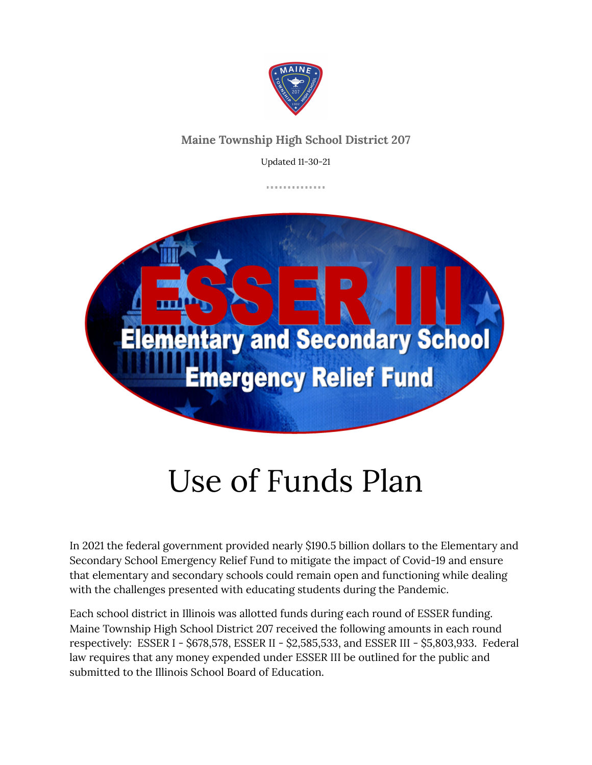

#### **Maine Township High School District 207**

Updated 11-30-21

. . . . . . . . . . . . . .



# Use of Funds Plan

In 2021 the federal government provided nearly \$190.5 billion dollars to the Elementary and Secondary School Emergency Relief Fund to mitigate the impact of Covid-19 and ensure that elementary and secondary schools could remain open and functioning while dealing with the challenges presented with educating students during the Pandemic.

Each school district in Illinois was allotted funds during each round of ESSER funding. Maine Township High School District 207 received the following amounts in each round respectively: ESSER I - \$678,578, ESSER II - \$2,585,533, and ESSER III - \$5,803,933. Federal law requires that any money expended under ESSER III be outlined for the public and submitted to the Illinois School Board of Education.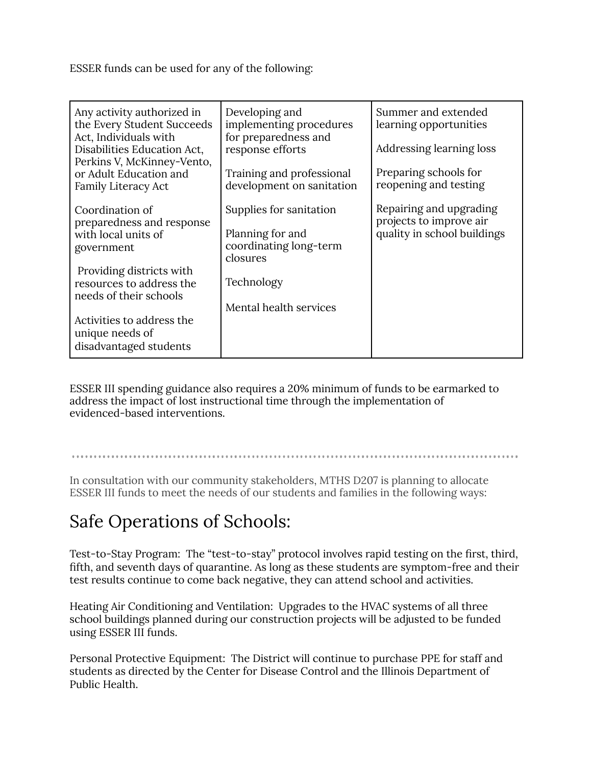ESSER funds can be used for any of the following:

| Any activity authorized in<br>the Every Student Succeeds<br>Act, Individuals with<br>Disabilities Education Act,<br>Perkins V, McKinney-Vento,<br>or Adult Education and<br><b>Family Literacy Act</b>                                        | Developing and<br>implementing procedures<br>for preparedness and<br>response efforts<br>Training and professional<br>development on sanitation | Summer and extended<br>learning opportunities<br>Addressing learning loss<br>Preparing schools for<br>reopening and testing |
|-----------------------------------------------------------------------------------------------------------------------------------------------------------------------------------------------------------------------------------------------|-------------------------------------------------------------------------------------------------------------------------------------------------|-----------------------------------------------------------------------------------------------------------------------------|
| Coordination of<br>preparedness and response<br>with local units of<br>government<br>Providing districts with<br>resources to address the<br>needs of their schools<br>Activities to address the<br>unique needs of<br>disadvantaged students | Supplies for sanitation<br>Planning for and<br>coordinating long-term<br>closures<br>Technology<br>Mental health services                       | Repairing and upgrading<br>projects to improve air<br>quality in school buildings                                           |

ESSER III spending guidance also requires a 20% minimum of funds to be earmarked to address the impact of lost instructional time through the implementation of evidenced-based interventions.

In consultation with our community stakeholders, MTHS D207 is planning to allocate ESSER III funds to meet the needs of our students and families in the following ways:

### Safe Operations of Schools:

Test-to-Stay Program: The "test-to-stay" protocol involves rapid testing on the first, third, fifth, and seventh days of quarantine. As long as these students are symptom-free and their test results continue to come back negative, they can attend school and activities.

Heating Air Conditioning and Ventilation: Upgrades to the HVAC systems of all three school buildings planned during our construction projects will be adjusted to be funded using ESSER III funds.

Personal Protective Equipment: The District will continue to purchase PPE for staff and students as directed by the Center for Disease Control and the Illinois Department of Public Health.